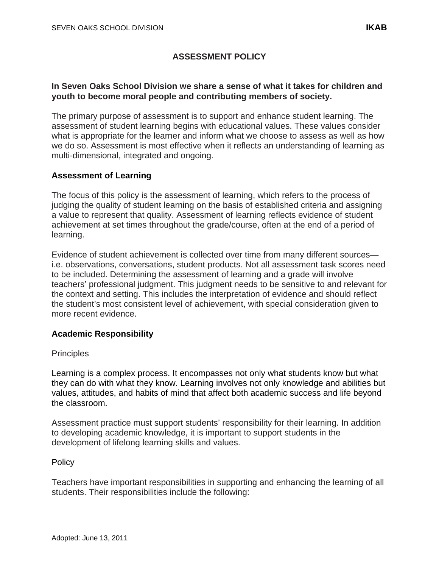# **ASSESSMENT POLICY**

### **In Seven Oaks School Division we share a sense of what it takes for children and youth to become moral people and contributing members of society.**

The primary purpose of assessment is to support and enhance student learning. The assessment of student learning begins with educational values. These values consider what is appropriate for the learner and inform what we choose to assess as well as how we do so. Assessment is most effective when it reflects an understanding of learning as multi-dimensional, integrated and ongoing.

# **Assessment of Learning**

The focus of this policy is the assessment of learning, which refers to the process of judging the quality of student learning on the basis of established criteria and assigning a value to represent that quality. Assessment of learning reflects evidence of student achievement at set times throughout the grade/course, often at the end of a period of learning.

Evidence of student achievement is collected over time from many different sources i.e. observations, conversations, student products. Not all assessment task scores need to be included. Determining the assessment of learning and a grade will involve teachers' professional judgment. This judgment needs to be sensitive to and relevant for the context and setting. This includes the interpretation of evidence and should reflect the student's most consistent level of achievement, with special consideration given to more recent evidence.

# **Academic Responsibility**

# **Principles**

Learning is a complex process. It encompasses not only what students know but what they can do with what they know. Learning involves not only knowledge and abilities but values, attitudes, and habits of mind that affect both academic success and life beyond the classroom.

Assessment practice must support students' responsibility for their learning. In addition to developing academic knowledge, it is important to support students in the development of lifelong learning skills and values.

# **Policy**

Teachers have important responsibilities in supporting and enhancing the learning of all students. Their responsibilities include the following: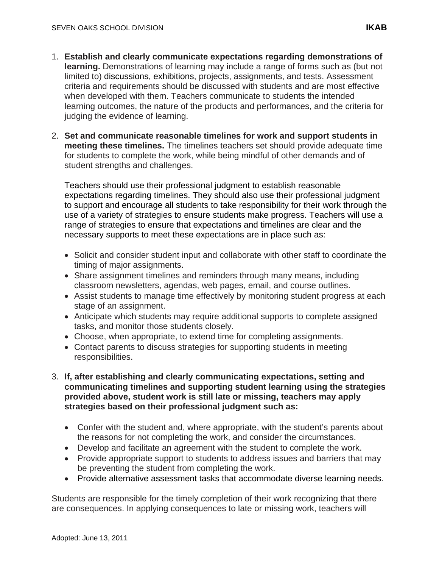- 1. **Establish and clearly communicate expectations regarding demonstrations of learning.** Demonstrations of learning may include a range of forms such as (but not limited to) discussions, exhibitions, projects, assignments, and tests. Assessment criteria and requirements should be discussed with students and are most effective when developed with them. Teachers communicate to students the intended learning outcomes, the nature of the products and performances, and the criteria for judging the evidence of learning.
- 2. **Set and communicate reasonable timelines for work and support students in meeting these timelines.** The timelines teachers set should provide adequate time for students to complete the work, while being mindful of other demands and of student strengths and challenges.

Teachers should use their professional judgment to establish reasonable expectations regarding timelines. They should also use their professional judgment to support and encourage all students to take responsibility for their work through the use of a variety of strategies to ensure students make progress. Teachers will use a range of strategies to ensure that expectations and timelines are clear and the necessary supports to meet these expectations are in place such as:

- Solicit and consider student input and collaborate with other staff to coordinate the timing of major assignments.
- Share assignment timelines and reminders through many means, including classroom newsletters, agendas, web pages, email, and course outlines.
- Assist students to manage time effectively by monitoring student progress at each stage of an assignment.
- Anticipate which students may require additional supports to complete assigned tasks, and monitor those students closely.
- Choose, when appropriate, to extend time for completing assignments.
- Contact parents to discuss strategies for supporting students in meeting responsibilities.
- 3. **If, after establishing and clearly communicating expectations, setting and communicating timelines and supporting student learning using the strategies provided above, student work is still late or missing, teachers may apply strategies based on their professional judgment such as:**
	- Confer with the student and, where appropriate, with the student's parents about the reasons for not completing the work, and consider the circumstances.
	- Develop and facilitate an agreement with the student to complete the work.
	- Provide appropriate support to students to address issues and barriers that may be preventing the student from completing the work.
	- Provide alternative assessment tasks that accommodate diverse learning needs.

Students are responsible for the timely completion of their work recognizing that there are consequences. In applying consequences to late or missing work, teachers will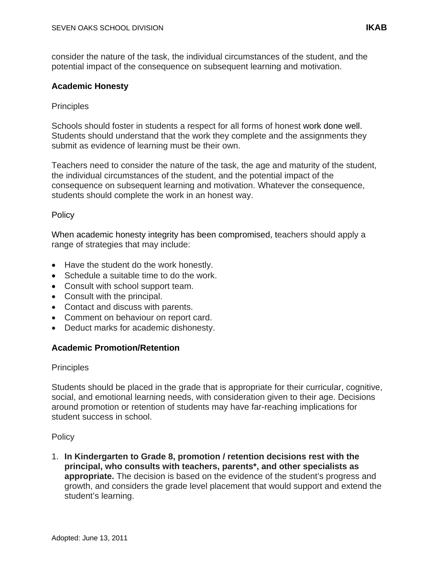consider the nature of the task, the individual circumstances of the student, and the potential impact of the consequence on subsequent learning and motivation.

### **Academic Honesty**

### **Principles**

Schools should foster in students a respect for all forms of honest work done well. Students should understand that the work they complete and the assignments they submit as evidence of learning must be their own.

Teachers need to consider the nature of the task, the age and maturity of the student, the individual circumstances of the student, and the potential impact of the consequence on subsequent learning and motivation. Whatever the consequence, students should complete the work in an honest way.

### **Policy**

When academic honesty integrity has been compromised, teachers should apply a range of strategies that may include:

- Have the student do the work honestly.
- Schedule a suitable time to do the work.
- Consult with school support team.
- Consult with the principal.
- Contact and discuss with parents.
- Comment on behaviour on report card.
- Deduct marks for academic dishonesty.

#### **Academic Promotion/Retention**

#### **Principles**

Students should be placed in the grade that is appropriate for their curricular, cognitive, social, and emotional learning needs, with consideration given to their age. Decisions around promotion or retention of students may have far-reaching implications for student success in school.

#### **Policy**

1. **In Kindergarten to Grade 8, promotion / retention decisions rest with the principal, who consults with teachers, parents\*, and other specialists as appropriate.** The decision is based on the evidence of the student's progress and growth, and considers the grade level placement that would support and extend the student's learning.